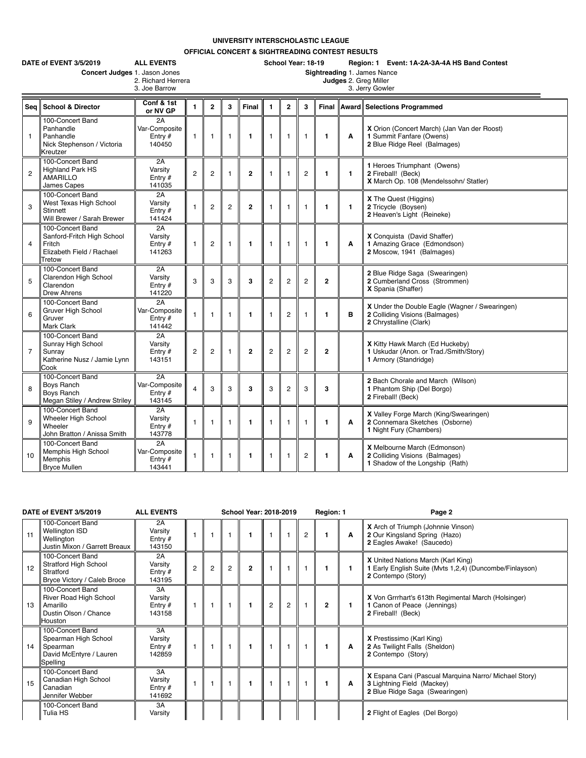## **UNIVERSITY INTERSCHOLASTIC LEAGUE**

**OFFICIAL CONCERT & SIGHTREADING CONTEST RESULTS**

|                | DATE of EVENT 3/5/2019<br>Concert Judges 1. Jason Jones                                         | <b>ALL EVENTS</b><br>2. Richard Herrera<br>3. Joe Barrow |                |                |                |                | School Year: 18-19<br>Region: 1 Event: 1A-2A-3A-4A HS Band Contest<br>Sightreading 1. James Nance<br>Judges 2. Greg Miller<br>3. Jerry Gowler |                |                |                |              |                                                                                                            |  |  |  |
|----------------|-------------------------------------------------------------------------------------------------|----------------------------------------------------------|----------------|----------------|----------------|----------------|-----------------------------------------------------------------------------------------------------------------------------------------------|----------------|----------------|----------------|--------------|------------------------------------------------------------------------------------------------------------|--|--|--|
| Sea            | <b>School &amp; Director</b>                                                                    | Conf & 1st<br>or NV GP                                   | $\blacksquare$ | $\overline{2}$ | 3              | Final          | 1                                                                                                                                             | $\overline{2}$ | 3              | Final          |              | <b>Award Selections Programmed</b>                                                                         |  |  |  |
| $\mathbf{1}$   | 100-Concert Band<br>Panhandle<br>Panhandle<br>Nick Stephenson / Victoria<br>Kreutzer            | 2A<br>Var-Composite<br>Entry $#$<br>140450               | $\mathbf{1}$   | 1              | $\overline{1}$ | 1              | $\mathbf{1}$                                                                                                                                  | $\mathbf{1}$   | $\overline{1}$ | $\mathbf{1}$   | A            | X Orion (Concert March) (Jan Van der Roost)<br>1 Summit Fanfare (Owens)<br>2 Blue Ridge Reel (Balmages)    |  |  |  |
| $\overline{c}$ | 100-Concert Band<br><b>Highland Park HS</b><br>AMARILLO<br>James Capes                          | 2A<br>Varsity<br>Entry $#$<br>141035                     | $\overline{c}$ | $\overline{c}$ |                | $\mathbf{2}$   | $\mathbf{1}$                                                                                                                                  | $\overline{1}$ | $\overline{2}$ | 1              | $\mathbf{1}$ | 1 Heroes Triumphant (Owens)<br>2 Fireball! (Beck)<br>X March Op. 108 (Mendelssohn/ Statler)                |  |  |  |
| 3              | 100-Concert Band<br>West Texas High School<br>Stinnett<br>Will Brewer / Sarah Brewer            | 2A<br>Varsity<br>Entry $#$<br>141424                     | $\overline{1}$ | $\overline{c}$ | $\overline{2}$ | $\overline{2}$ | $\mathbf{1}$                                                                                                                                  | 1              | -1             | 1              | $\mathbf{1}$ | X The Quest (Higgins)<br>2 Tricycle (Boysen)<br>2 Heaven's Light (Reineke)                                 |  |  |  |
| $\overline{4}$ | 100-Concert Band<br>Sanford-Fritch High School<br>Fritch<br>Elizabeth Field / Rachael<br>Tretow | 2A<br>Varsity<br>Entry $#$<br>141263                     | $\mathbf{1}$   | $\overline{2}$ | $\overline{1}$ | 1              | $\mathbf{1}$                                                                                                                                  | $\mathbf{1}$   | $\overline{1}$ | $\mathbf{1}$   | A            | X Conquista (David Shaffer)<br>1 Amazing Grace (Edmondson)<br>2 Moscow, 1941 (Balmages)                    |  |  |  |
| 5              | 100-Concert Band<br>Clarendon High School<br>Clarendon<br><b>Drew Ahrens</b>                    | 2A<br>Varsity<br>Entry $#$<br>141220                     | 3              | 3              | 3              | 3              | $\overline{2}$                                                                                                                                | $\overline{2}$ | $\overline{2}$ | $\overline{2}$ |              | 2 Blue Ridge Saga (Swearingen)<br>2 Cumberland Cross (Strommen)<br>X Spania (Shaffer)                      |  |  |  |
| 6              | 100-Concert Band<br>Gruver High School<br>Gruver<br><b>Mark Clark</b>                           | 2A<br>Var-Composite<br>Entry $#$<br>141442               | $\overline{1}$ | 1              | $\overline{1}$ | 1              | $\mathbf{1}$                                                                                                                                  | $\overline{2}$ | $\overline{1}$ | 1              | в            | X Under the Double Eagle (Wagner / Swearingen)<br>2 Colliding Visions (Balmages)<br>2 Chrystalline (Clark) |  |  |  |
| $\overline{7}$ | 100-Concert Band<br>Sunray High School<br>Sunray<br>Katherine Nusz / Jamie Lynn<br>Cook         | 2A<br>Varsity<br>Entry $#$<br>143151                     | $\overline{2}$ | $\overline{2}$ | 1              | $\overline{2}$ | $\overline{2}$                                                                                                                                | $\overline{2}$ | $\overline{2}$ | $\overline{2}$ |              | X Kitty Hawk March (Ed Huckeby)<br>1 Uskudar (Anon. or Trad./Smith/Story)<br>1 Armory (Standridge)         |  |  |  |
| 8              | 100-Concert Band<br>Boys Ranch<br><b>Boys Ranch</b><br>Megan Stiley / Andrew Striley            | 2A<br>Var-Composite<br>Entry $#$<br>143145               | $\overline{4}$ | 3              | 3              | 3              | 3                                                                                                                                             | $\overline{2}$ | 3              | 3              |              | 2 Bach Chorale and March (Wilson)<br>1 Phantom Ship (Del Borgo)<br>2 Fireball! (Beck)                      |  |  |  |
| 9              | 100-Concert Band<br>Wheeler High School<br>Wheeler<br>John Bratton / Anissa Smith               | 2A<br>Varsity<br>Entry $#$<br>143778                     | $\mathbf{1}$   | 1              | $\overline{1}$ | $\mathbf{1}$   | $\mathbf{1}$                                                                                                                                  | $\overline{1}$ | $\overline{1}$ | 1              | A            | X Valley Forge March (King/Swearingen)<br>2 Connemara Sketches (Osborne)<br>1 Night Fury (Chambers)        |  |  |  |
| 10             | 100-Concert Band<br>Memphis High School<br>Memphis<br><b>Bryce Mullen</b>                       | 2A<br>Var-Composite<br>Entry $#$<br>143441               | $\mathbf{1}$   | $\mathbf{1}$   | $\overline{1}$ | $\mathbf{1}$   | $\mathbf{1}$                                                                                                                                  | $\mathbf{1}$   | $\overline{c}$ | 1              | A            | X Melbourne March (Edmonson)<br>2 Colliding Visions (Balmages)<br>1 Shadow of the Longship (Rath)          |  |  |  |

|    | DATE of EVENT 3/5/2019                                                                            | <b>ALL EVENTS</b>                    |                |                |   | <b>School Year: 2018-2019</b> |                |   |                | Region: 1      |   | Page 2                                                                                                                     |
|----|---------------------------------------------------------------------------------------------------|--------------------------------------|----------------|----------------|---|-------------------------------|----------------|---|----------------|----------------|---|----------------------------------------------------------------------------------------------------------------------------|
| 11 | 100-Concert Band<br><b>Wellington ISD</b><br>Wellington<br>Justin Mixon / Garrett Breaux          | 2A<br>Varsity<br>Entry $#$<br>143150 |                |                |   |                               |                |   | $\overline{2}$ | $\mathbf{1}$   | A | <b>X</b> Arch of Triumph (Johnnie Vinson)<br>2 Our Kingsland Spring (Hazo)<br>2 Eagles Awake! (Saucedo)                    |
| 12 | 100-Concert Band<br>Stratford High School<br>Stratford<br>Bryce Victory / Caleb Broce             | 2A<br>Varsity<br>Entry $#$<br>143195 | $\overline{2}$ | $\overline{2}$ | 2 | $\mathbf{2}$                  |                |   |                |                |   | <b>X</b> United Nations March (Karl King)<br>1 Early English Suite (Mvts 1,2,4) (Duncombe/Finlayson)<br>2 Contempo (Story) |
| 13 | 100-Concert Band<br>River Road High School<br>Amarillo<br>Dustin Olson / Chance<br><b>Houston</b> | 3A<br>Varsity<br>Entry $#$<br>143158 |                |                |   |                               | $\overline{c}$ | 2 |                | $\overline{2}$ |   | X Von Grrrhart's 613th Regimental March (Holsinger)<br>1 Canon of Peace (Jennings)<br>2 Fireball! (Beck)                   |
| 14 | 100-Concert Band<br>Spearman High School<br>Spearman<br>David McEntyre / Lauren<br>Spelling       | 3A<br>Varsity<br>Entry $#$<br>142859 |                |                |   |                               |                |   |                | 1              | A | X Prestissimo (Karl King)<br>2 As Twilight Falls (Sheldon)<br>2 Contempo (Story)                                           |
| 15 | 100-Concert Band<br>Canadian High School<br>Canadian<br>Jennifer Webber                           | 3A<br>Varsity<br>Entry $#$<br>141692 |                |                |   |                               |                |   |                | $\mathbf{1}$   | A | X Espana Cani (Pascual Marquina Narro/ Michael Story)<br>3 Lightning Field (Mackey)<br>2 Blue Ridge Saga (Swearingen)      |
|    | 100-Concert Band<br>Tulia HS                                                                      | 3A<br>Varsity                        |                |                |   |                               |                |   |                |                |   | 2 Flight of Eagles (Del Borgo)                                                                                             |